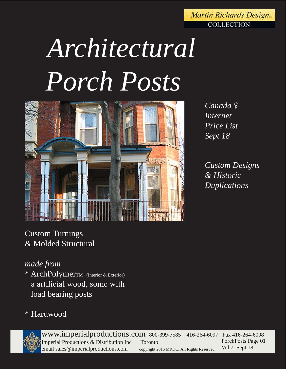#### **Martin Richards Design. COLLECTION**

# *Architectural Porch Posts*



*Canada \$ Internet Price List Sept 18*

*Custom Designs & Historic Duplications*

Custom Turnings & Molded Structural

## *made from*

\* ArchPolymerTM (Interior & Exterior) a artificial wood, some with load bearing posts

## \* Hardwood



www.imperialproductions.com 800-399-7585 416-264-6097 Fax 416-264-6098 Imperial Productions & Distribution Inc Toronto email sales@imperialproductions.com copyright 2016 MRDCI All Rights Reserved PorchPosts Page 01 Vol 7: Sept 18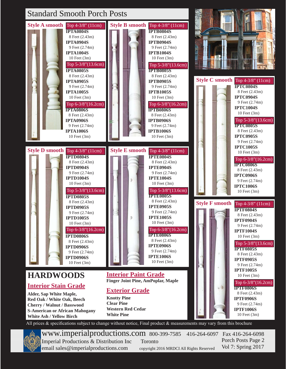

All prices & specifications subject to change without notice, Final product & measurements may vary from this brochure

www.imperialproductions.com 800-399-7585 416-264-6097 Fax 416-264-6098 Imperial Productions & Distribution Inc Toronto email sales@imperialproductions.com copyright 2016 MRDCI All Rights Reserved Porch Posts Page 2 Vol 7: Spring 2017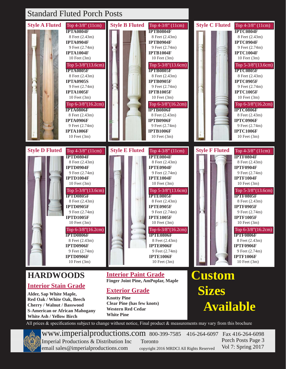#### Standard Fluted Porch Posts



**Cherry / Walnut / Basswood S-American or African Mahogany White Ash / Yellow Birch**

**Clear Pine (has few knots) Western Red Cedar White Pine**

All prices & specifications subject to change without notice, Final product & measurements may vary from this brochure



www.imperialproductions.com 800-399-7585 416-264-6097 Fax 416-264-6098 Imperial Productions & Distribution Inc Toronto email sales@imperialproductions.com copyright 2016 MRDCI All Rights Reserved Porch Posts Page 3 Vol 7: Spring 2017